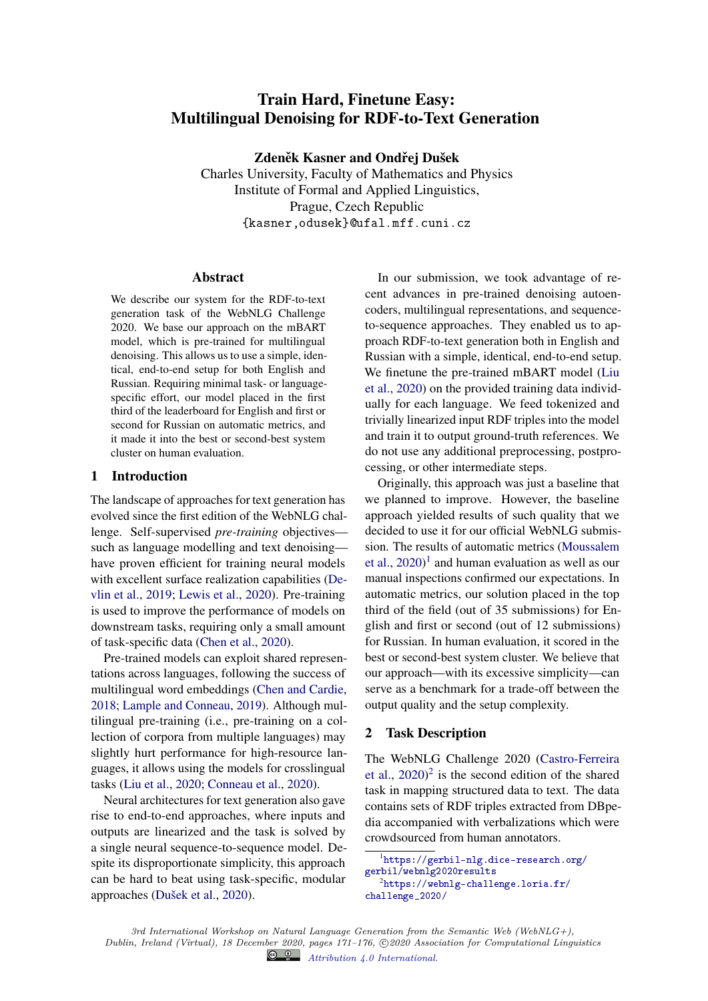# Train Hard, Finetune Easy: Multilingual Denoising for RDF-to-Text Generation

Zdeněk Kasner and Ondřej Dušek Charles University, Faculty of Mathematics and Physics Institute of Formal and Applied Linguistics, Prague, Czech Republic {kasner,odusek}@ufal.mff.cuni.cz

#### Abstract

We describe our system for the RDF-to-text generation task of the WebNLG Challenge 2020. We base our approach on the mBART model, which is pre-trained for multilingual denoising. This allows us to use a simple, identical, end-to-end setup for both English and Russian. Requiring minimal task- or languagespecific effort, our model placed in the first third of the leaderboard for English and first or second for Russian on automatic metrics, and it made it into the best or second-best system cluster on human evaluation.

### 1 Introduction

The landscape of approaches for text generation has evolved since the first edition of the WebNLG challenge. Self-supervised *pre-training* objectives such as language modelling and text denoising have proven efficient for training neural models with excellent surface realization capabilities (Devlin et al., 2019; Lewis et al., 2020). Pre-training is used to improve the performance of models on downstream tasks, requiring only a small amount of task-specific data (Chen et al., 2020).

Pre-trained models can exploit shared representations across languages, following the success of multilingual word embeddings (Chen and Cardie, 2018; Lample and Conneau, 2019). Although multilingual pre-training (i.e., pre-training on a collection of corpora from multiple languages) may slightly hurt performance for high-resource languages, it allows using the models for crosslingual tasks (Liu et al., 2020; Conneau et al., 2020).

Neural architectures for text generation also gave rise to end-to-end approaches, where inputs and outputs are linearized and the task is solved by a single neural sequence-to-sequence model. Despite its disproportionate simplicity, this approach can be hard to beat using task-specific, modular approaches (Dušek et al., 2020).

In our submission, we took advantage of recent advances in pre-trained denoising autoencoders, multilingual representations, and sequenceto-sequence approaches. They enabled us to approach RDF-to-text generation both in English and Russian with a simple, identical, end-to-end setup. We finetune the pre-trained mBART model (Liu et al., 2020) on the provided training data individually for each language. We feed tokenized and trivially linearized input RDF triples into the model and train it to output ground-truth references. We do not use any additional preprocessing, postprocessing, or other intermediate steps.

Originally, this approach was just a baseline that we planned to improve. However, the baseline approach yielded results of such quality that we decided to use it for our official WebNLG submission. The results of automatic metrics (Moussalem et al.,  $2020$ <sup>1</sup> and human evaluation as well as our manual inspections confirmed our expectations. In automatic metrics, our solution placed in the top third of the field (out of 35 submissions) for English and first or second (out of 12 submissions) for Russian. In human evaluation, it scored in the best or second-best system cluster. We believe that our approach—with its excessive simplicity—can serve as a benchmark for a trade-off between the output quality and the setup complexity.

## 2 Task Description

The WebNLG Challenge 2020 (Castro-Ferreira et al.,  $2020$ <sup>2</sup> is the second edition of the shared task in mapping structured data to text. The data contains sets of RDF triples extracted from DBpedia accompanied with verbalizations which were crowdsourced from human annotators.

<sup>1</sup> [https://gerbil-nlg.dice-research.org/](https://gerbil-nlg.dice-research.org/gerbil/webnlg2020results) [gerbil/webnlg2020results](https://gerbil-nlg.dice-research.org/gerbil/webnlg2020results)

 $^2$ [https://webnlg-challenge.loria.fr/](https://webnlg-challenge.loria.fr/challenge_2020/) [challenge\\_2020/](https://webnlg-challenge.loria.fr/challenge_2020/)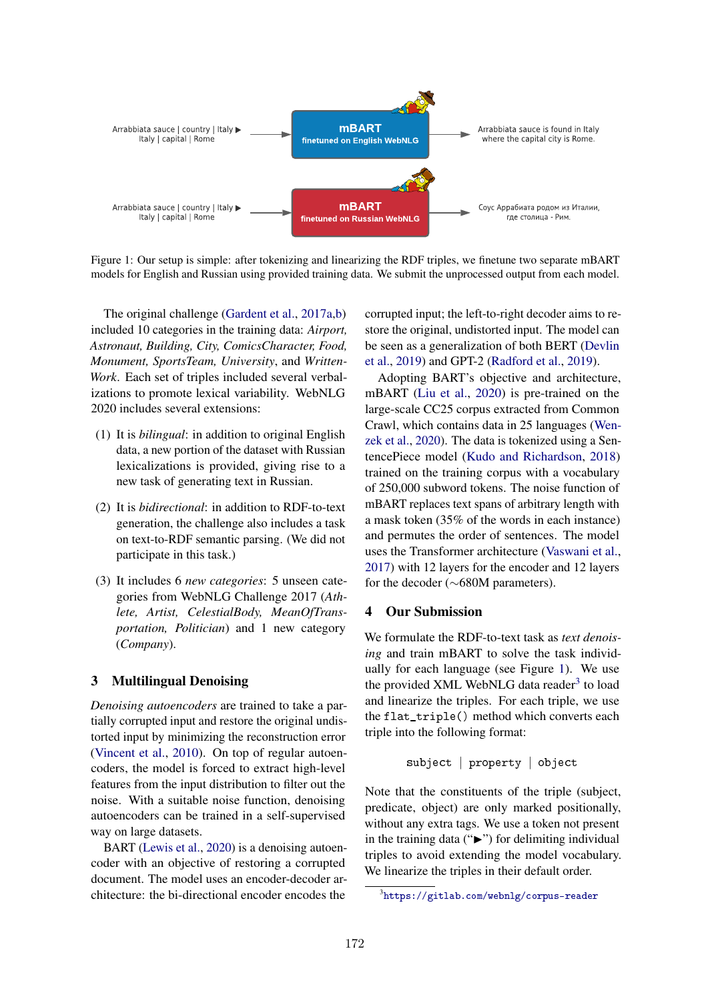

Figure 1: Our setup is simple: after tokenizing and linearizing the RDF triples, we finetune two separate mBART models for English and Russian using provided training data. We submit the unprocessed output from each model.

The original challenge (Gardent et al., 2017a,b) included 10 categories in the training data: *Airport, Astronaut, Building, City, ComicsCharacter, Food, Monument, SportsTeam, University*, and *Written-Work*. Each set of triples included several verbalizations to promote lexical variability. WebNLG 2020 includes several extensions:

- (1) It is *bilingual*: in addition to original English data, a new portion of the dataset with Russian lexicalizations is provided, giving rise to a new task of generating text in Russian.
- (2) It is *bidirectional*: in addition to RDF-to-text generation, the challenge also includes a task on text-to-RDF semantic parsing. (We did not participate in this task.)
- (3) It includes 6 *new categories*: 5 unseen categories from WebNLG Challenge 2017 (*Athlete, Artist, CelestialBody, MeanOfTransportation, Politician*) and 1 new category (*Company*).

## 3 Multilingual Denoising

*Denoising autoencoders* are trained to take a partially corrupted input and restore the original undistorted input by minimizing the reconstruction error (Vincent et al., 2010). On top of regular autoencoders, the model is forced to extract high-level features from the input distribution to filter out the noise. With a suitable noise function, denoising autoencoders can be trained in a self-supervised way on large datasets.

BART (Lewis et al., 2020) is a denoising autoencoder with an objective of restoring a corrupted document. The model uses an encoder-decoder architecture: the bi-directional encoder encodes the

corrupted input; the left-to-right decoder aims to restore the original, undistorted input. The model can be seen as a generalization of both BERT (Devlin et al., 2019) and GPT-2 (Radford et al., 2019).

Adopting BART's objective and architecture, mBART (Liu et al., 2020) is pre-trained on the large-scale CC25 corpus extracted from Common Crawl, which contains data in 25 languages (Wenzek et al., 2020). The data is tokenized using a SentencePiece model (Kudo and Richardson, 2018) trained on the training corpus with a vocabulary of 250,000 subword tokens. The noise function of mBART replaces text spans of arbitrary length with a mask token (35% of the words in each instance) and permutes the order of sentences. The model uses the Transformer architecture (Vaswani et al., 2017) with 12 layers for the encoder and 12 layers for the decoder (∼680M parameters).

### 4 Our Submission

We formulate the RDF-to-text task as *text denoising* and train mBART to solve the task individually for each language (see Figure 1). We use the provided XML WebNLG data reader<sup>3</sup> to load and linearize the triples. For each triple, we use the flat\_triple() method which converts each triple into the following format:

$$
\mathtt{subject} \hspace{0.2cm} | \hspace{0.2cm} \mathtt{property} \hspace{0.2cm} | \hspace{0.2cm} \mathtt{object}
$$

Note that the constituents of the triple (subject, predicate, object) are only marked positionally, without any extra tags. We use a token not present in the training data  $("\rightarrow")$  for delimiting individual triples to avoid extending the model vocabulary. We linearize the triples in their default order.

 $^3$ <https://gitlab.com/webnlg/corpus-reader>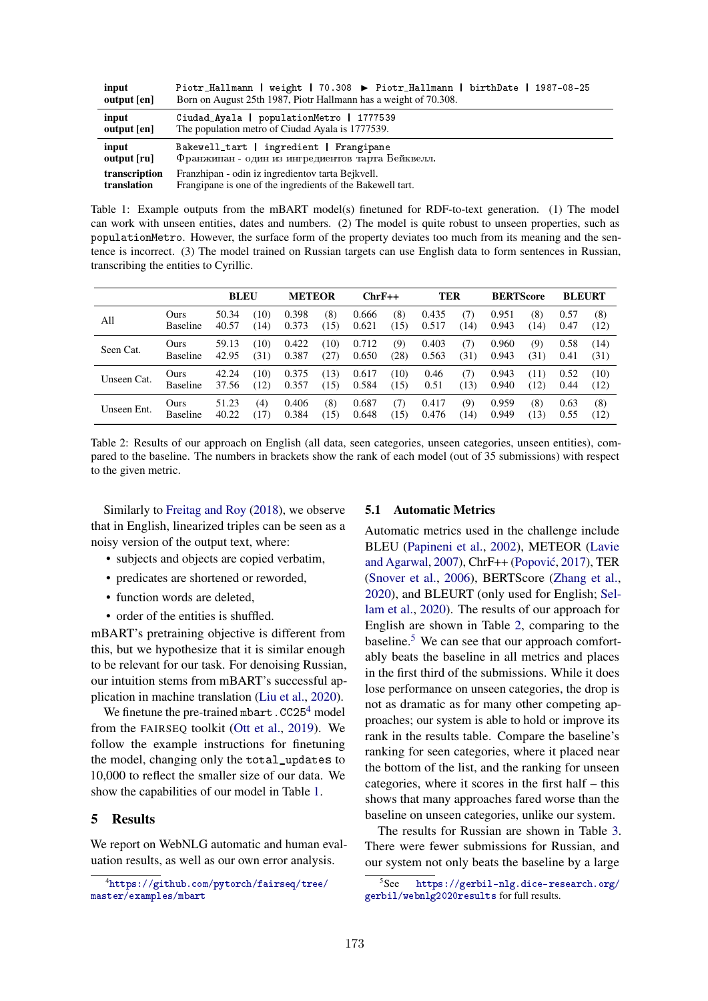| input<br>output [en] | weight   70.308 ▶ Piotr_Hallmann   birthDate<br>1987-08-25<br>Piotr_Hallmann  <br>Born on August 25th 1987, Piotr Hallmann has a weight of 70.308. |  |  |  |  |  |  |  |
|----------------------|----------------------------------------------------------------------------------------------------------------------------------------------------|--|--|--|--|--|--|--|
| input                | Ciudad_Ayala   populationMetro   1777539                                                                                                           |  |  |  |  |  |  |  |
| output [en]          | The population metro of Ciudad Ayala is 1777539.                                                                                                   |  |  |  |  |  |  |  |
| input                | Bakewell_tart   ingredient   Frangipane                                                                                                            |  |  |  |  |  |  |  |
| output [ru]          | Франжипан - один из ингредиентов тарта Бейквелл.                                                                                                   |  |  |  |  |  |  |  |
| transcription        | Franzhipan - odin iz ingredientov tarta Bejkvell.                                                                                                  |  |  |  |  |  |  |  |
| translation          | Frangipane is one of the ingredients of the Bakewell tart.                                                                                         |  |  |  |  |  |  |  |

Table 1: Example outputs from the mBART model(s) finetuned for RDF-to-text generation. (1) The model can work with unseen entities, dates and numbers. (2) The model is quite robust to unseen properties, such as populationMetro. However, the surface form of the property deviates too much from its meaning and the sentence is incorrect. (3) The model trained on Russian targets can use English data to form sentences in Russian, transcribing the entities to Cyrillic.

|             |                 | <b>BLEU</b> |      | <b>METEOR</b> |      | $ChrF++$ |      | TER   |      | <b>BERTScore</b> |      | <b>BLEURT</b> |      |
|-------------|-----------------|-------------|------|---------------|------|----------|------|-------|------|------------------|------|---------------|------|
| All         | Ours            | 50.34       | (10) | 0.398         | (8)  | 0.666    | (8)  | 0.435 | (7)  | 0.951            | (8)  | 0.57          | (8)  |
|             | <b>Baseline</b> | 40.57       | (14) | 0.373         | (15) | 0.621    | (15) | 0.517 | (14) | 0.943            | (14) | 0.47          | (12) |
| Seen Cat.   | Ours            | 59.13       | (10) | 0.422         | (10) | 0.712    | (9)  | 0.403 | (7)  | 0.960            | (9)  | 0.58          | (14) |
|             | <b>Baseline</b> | 42.95       | (31) | 0.387         | (27) | 0.650    | (28) | 0.563 | (31) | 0.943            | (31) | 0.41          | (31) |
| Unseen Cat. | Ours            | 42.24       | (10) | 0.375         | (13) | 0.617    | (10) | 0.46  | (7)  | 0.943            | (11) | 0.52          | (10) |
|             | <b>Baseline</b> | 37.56       | (12) | 0.357         | (15) | 0.584    | (15) | 0.51  | (13) | 0.940            | (12) | 0.44          | (12) |
| Unseen Ent. | Ours            | 51.23       | (4)  | 0.406         | (8)  | 0.687    | (7)  | 0.417 | (9)  | 0.959            | (8)  | 0.63          | (8)  |
|             | <b>Baseline</b> | 40.22       | (17) | 0.384         | (15) | 0.648    | (15) | 0.476 | (14) | 0.949            | (13) | 0.55          | (12) |

Table 2: Results of our approach on English (all data, seen categories, unseen categories, unseen entities), compared to the baseline. The numbers in brackets show the rank of each model (out of 35 submissions) with respect to the given metric.

Similarly to Freitag and Roy (2018), we observe that in English, linearized triples can be seen as a noisy version of the output text, where:

- subjects and objects are copied verbatim,
- predicates are shortened or reworded,
- function words are deleted.
- order of the entities is shuffled.

mBART's pretraining objective is different from this, but we hypothesize that it is similar enough to be relevant for our task. For denoising Russian, our intuition stems from mBART's successful application in machine translation (Liu et al., 2020).

We finetune the pre-trained mbart.CC25<sup>4</sup> model from the FAIRSEQ toolkit (Ott et al., 2019). We follow the example instructions for finetuning the model, changing only the total\_updates to 10,000 to reflect the smaller size of our data. We show the capabilities of our model in Table 1.

#### 5 Results

We report on WebNLG automatic and human evaluation results, as well as our own error analysis.

#### 5.1 Automatic Metrics

Automatic metrics used in the challenge include BLEU (Papineni et al., 2002), METEOR (Lavie and Agarwal, 2007), ChrF++ (Popovic´, 2017), TER (Snover et al., 2006), BERTScore (Zhang et al., 2020), and BLEURT (only used for English; Sellam et al., 2020). The results of our approach for English are shown in Table 2, comparing to the baseline.<sup>5</sup> We can see that our approach comfortably beats the baseline in all metrics and places in the first third of the submissions. While it does lose performance on unseen categories, the drop is not as dramatic as for many other competing approaches; our system is able to hold or improve its rank in the results table. Compare the baseline's ranking for seen categories, where it placed near the bottom of the list, and the ranking for unseen categories, where it scores in the first half – this shows that many approaches fared worse than the baseline on unseen categories, unlike our system.

The results for Russian are shown in Table 3. There were fewer submissions for Russian, and our system not only beats the baseline by a large

<sup>4</sup> [https://github.com/pytorch/fairseq/tree/](https://github.com/pytorch/fairseq/tree/master/examples/mbart) [master/examples/mbart](https://github.com/pytorch/fairseq/tree/master/examples/mbart)

<sup>5</sup>See [https://gerbil-nlg.dice-research.org/](https://gerbil-nlg.dice-research.org/gerbil/webnlg2020results) [gerbil/webnlg2020results](https://gerbil-nlg.dice-research.org/gerbil/webnlg2020results) for full results.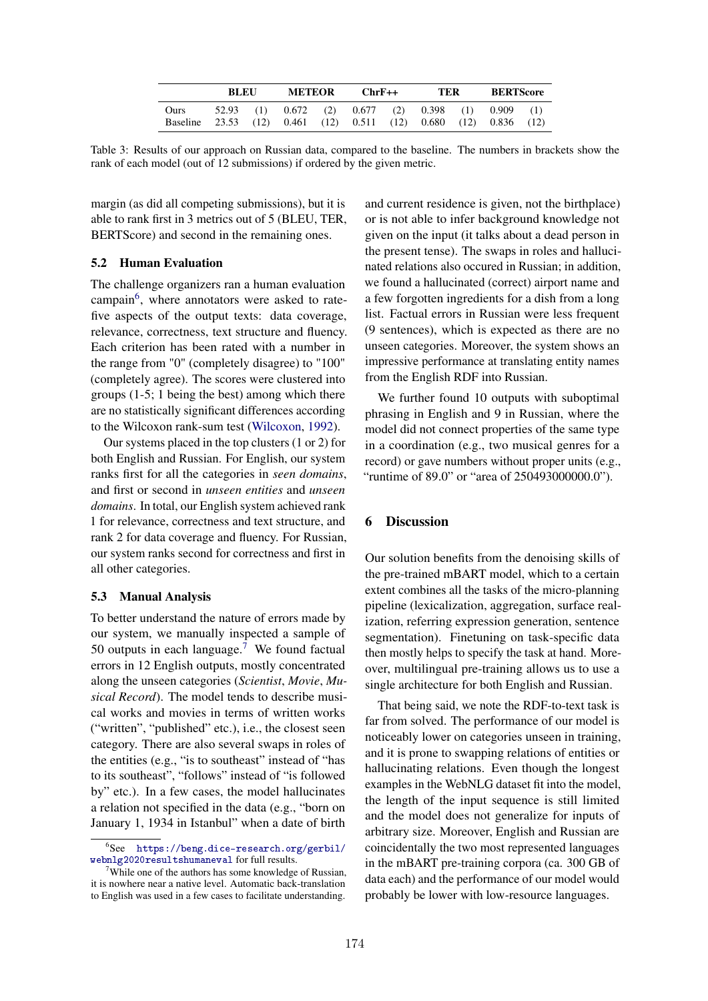|                  | <b>BLEU</b> |  | <b>METEOR</b>   |  | $ChrF++$                                                                     | TER | <b>BERTScore</b> |             |  |
|------------------|-------------|--|-----------------|--|------------------------------------------------------------------------------|-----|------------------|-------------|--|
| Ours<br>Baseline |             |  | 52.93 (1) 0.672 |  | $(2)$ 0.677 $(2)$ 0.398<br>23.53 (12) 0.461 (12) 0.511 (12) 0.680 (12) 0.836 |     | $(1)$ 0.909      | (1)<br>(12) |  |

Table 3: Results of our approach on Russian data, compared to the baseline. The numbers in brackets show the rank of each model (out of 12 submissions) if ordered by the given metric.

margin (as did all competing submissions), but it is able to rank first in 3 metrics out of 5 (BLEU, TER, BERTScore) and second in the remaining ones.

### 5.2 Human Evaluation

The challenge organizers ran a human evaluation campain<sup>6</sup>, where annotators were asked to ratefive aspects of the output texts: data coverage, relevance, correctness, text structure and fluency. Each criterion has been rated with a number in the range from "0" (completely disagree) to "100" (completely agree). The scores were clustered into groups (1-5; 1 being the best) among which there are no statistically significant differences according to the Wilcoxon rank-sum test (Wilcoxon, 1992).

Our systems placed in the top clusters (1 or 2) for both English and Russian. For English, our system ranks first for all the categories in *seen domains*, and first or second in *unseen entities* and *unseen domains*. In total, our English system achieved rank 1 for relevance, correctness and text structure, and rank 2 for data coverage and fluency. For Russian, our system ranks second for correctness and first in all other categories.

### 5.3 Manual Analysis

To better understand the nature of errors made by our system, we manually inspected a sample of 50 outputs in each language.<sup>7</sup> We found factual errors in 12 English outputs, mostly concentrated along the unseen categories (*Scientist*, *Movie*, *Musical Record*). The model tends to describe musical works and movies in terms of written works ("written", "published" etc.), i.e., the closest seen category. There are also several swaps in roles of the entities (e.g., "is to southeast" instead of "has to its southeast", "follows" instead of "is followed by" etc.). In a few cases, the model hallucinates a relation not specified in the data (e.g., "born on January 1, 1934 in Istanbul" when a date of birth and current residence is given, not the birthplace) or is not able to infer background knowledge not given on the input (it talks about a dead person in the present tense). The swaps in roles and hallucinated relations also occured in Russian; in addition, we found a hallucinated (correct) airport name and a few forgotten ingredients for a dish from a long list. Factual errors in Russian were less frequent (9 sentences), which is expected as there are no unseen categories. Moreover, the system shows an impressive performance at translating entity names from the English RDF into Russian.

We further found 10 outputs with suboptimal phrasing in English and 9 in Russian, where the model did not connect properties of the same type in a coordination (e.g., two musical genres for a record) or gave numbers without proper units (e.g., "runtime of 89.0" or "area of 250493000000.0").

### 6 Discussion

Our solution benefits from the denoising skills of the pre-trained mBART model, which to a certain extent combines all the tasks of the micro-planning pipeline (lexicalization, aggregation, surface realization, referring expression generation, sentence segmentation). Finetuning on task-specific data then mostly helps to specify the task at hand. Moreover, multilingual pre-training allows us to use a single architecture for both English and Russian.

That being said, we note the RDF-to-text task is far from solved. The performance of our model is noticeably lower on categories unseen in training, and it is prone to swapping relations of entities or hallucinating relations. Even though the longest examples in the WebNLG dataset fit into the model, the length of the input sequence is still limited and the model does not generalize for inputs of arbitrary size. Moreover, English and Russian are coincidentally the two most represented languages in the mBART pre-training corpora (ca. 300 GB of data each) and the performance of our model would probably be lower with low-resource languages.

 $6$ See [https://beng.dice-research.org/gerbil/](https://beng.dice-research.org/gerbil/webnlg2020resultshumaneval) [webnlg2020resultshumaneval](https://beng.dice-research.org/gerbil/webnlg2020resultshumaneval) for full results.

 $7$ While one of the authors has some knowledge of Russian, it is nowhere near a native level. Automatic back-translation to English was used in a few cases to facilitate understanding.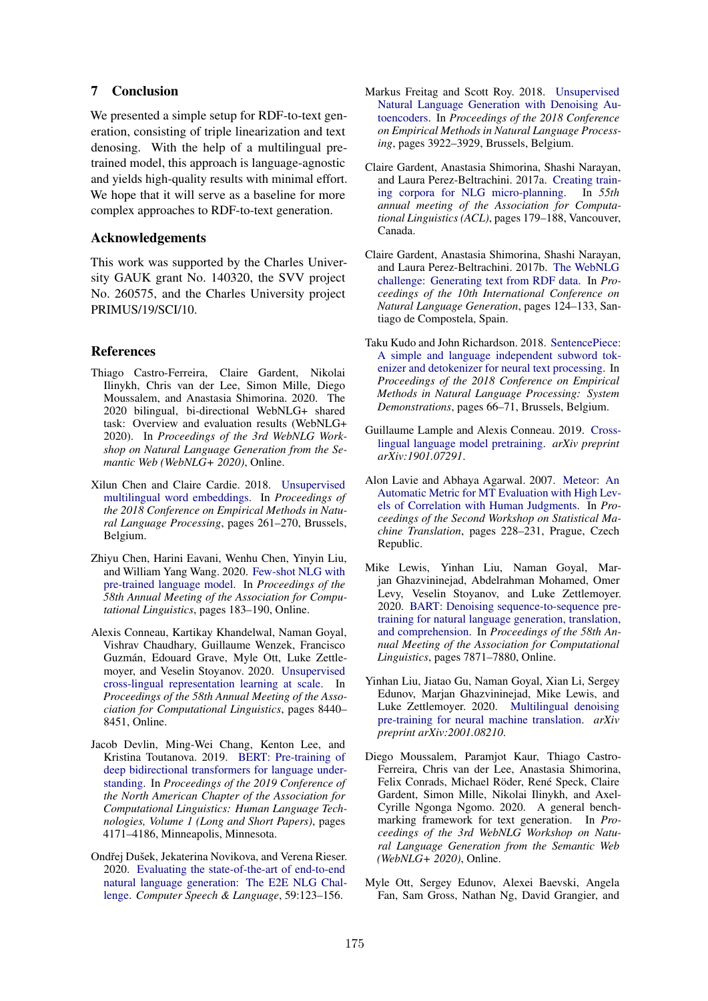# 7 Conclusion

We presented a simple setup for RDF-to-text generation, consisting of triple linearization and text denosing. With the help of a multilingual pretrained model, this approach is language-agnostic and yields high-quality results with minimal effort. We hope that it will serve as a baseline for more complex approaches to RDF-to-text generation.

## Acknowledgements

This work was supported by the Charles University GAUK grant No. 140320, the SVV project No. 260575, and the Charles University project PRIMUS/19/SCI/10.

# References

- Thiago Castro-Ferreira, Claire Gardent, Nikolai Ilinykh, Chris van der Lee, Simon Mille, Diego Moussalem, and Anastasia Shimorina. 2020. The 2020 bilingual, bi-directional WebNLG+ shared task: Overview and evaluation results (WebNLG+ 2020). In *Proceedings of the 3rd WebNLG Workshop on Natural Language Generation from the Semantic Web (WebNLG+ 2020)*, Online.
- Xilun Chen and Claire Cardie. 2018. [Unsupervised](https://www.aclweb.org/anthology/D18-1024) [multilingual word embeddings.](https://www.aclweb.org/anthology/D18-1024) In *Proceedings of the 2018 Conference on Empirical Methods in Natural Language Processing*, pages 261–270, Brussels, Belgium.
- Zhiyu Chen, Harini Eavani, Wenhu Chen, Yinyin Liu, and William Yang Wang. 2020. [Few-shot NLG with](https://www.aclweb.org/anthology/2020.acl-main.18) [pre-trained language model.](https://www.aclweb.org/anthology/2020.acl-main.18) In *Proceedings of the 58th Annual Meeting of the Association for Computational Linguistics*, pages 183–190, Online.
- Alexis Conneau, Kartikay Khandelwal, Naman Goyal, Vishrav Chaudhary, Guillaume Wenzek, Francisco Guzmán, Edouard Grave, Myle Ott, Luke Zettlemoyer, and Veselin Stoyanov. 2020. [Unsupervised](https://doi.org/10.18653/v1/2020.acl-main.747) [cross-lingual representation learning at scale.](https://doi.org/10.18653/v1/2020.acl-main.747) In *Proceedings of the 58th Annual Meeting of the Association for Computational Linguistics*, pages 8440– 8451, Online.
- Jacob Devlin, Ming-Wei Chang, Kenton Lee, and Kristina Toutanova. 2019. [BERT: Pre-training of](https://doi.org/10.18653/v1/N19-1423) [deep bidirectional transformers for language under](https://doi.org/10.18653/v1/N19-1423)[standing.](https://doi.org/10.18653/v1/N19-1423) In *Proceedings of the 2019 Conference of the North American Chapter of the Association for Computational Linguistics: Human Language Technologies, Volume 1 (Long and Short Papers)*, pages 4171–4186, Minneapolis, Minnesota.
- Ondřej Dušek, Jekaterina Novikova, and Verena Rieser. 2020. [Evaluating the state-of-the-art of end-to-end](https://doi.org/10.1016/j.csl.2019.06.009) [natural language generation: The E2E NLG Chal](https://doi.org/10.1016/j.csl.2019.06.009)[lenge.](https://doi.org/10.1016/j.csl.2019.06.009) *Computer Speech & Language*, 59:123–156.
- Markus Freitag and Scott Roy. 2018. [Unsupervised](http://aclweb.org/anthology/D18-1426) [Natural Language Generation with Denoising Au](http://aclweb.org/anthology/D18-1426)[toencoders.](http://aclweb.org/anthology/D18-1426) In *Proceedings of the 2018 Conference on Empirical Methods in Natural Language Processing*, pages 3922–3929, Brussels, Belgium.
- Claire Gardent, Anastasia Shimorina, Shashi Narayan, and Laura Perez-Beltrachini. 2017a. [Creating train](https://doi.org/10.18653/v1/P17-1017)[ing corpora for NLG micro-planning.](https://doi.org/10.18653/v1/P17-1017) In *55th annual meeting of the Association for Computational Linguistics (ACL)*, pages 179–188, Vancouver, Canada.
- Claire Gardent, Anastasia Shimorina, Shashi Narayan, and Laura Perez-Beltrachini. 2017b. [The WebNLG](http://www.aclweb.org/anthology/W17-3518) [challenge: Generating text from RDF data.](http://www.aclweb.org/anthology/W17-3518) In *Proceedings of the 10th International Conference on Natural Language Generation*, pages 124–133, Santiago de Compostela, Spain.
- Taku Kudo and John Richardson. 2018. [SentencePiece:](https://doi.org/10.18653/v1/D18-2012) [A simple and language independent subword tok](https://doi.org/10.18653/v1/D18-2012)[enizer and detokenizer for neural text processing.](https://doi.org/10.18653/v1/D18-2012) In *Proceedings of the 2018 Conference on Empirical Methods in Natural Language Processing: System Demonstrations*, pages 66–71, Brussels, Belgium.
- Guillaume Lample and Alexis Conneau. 2019. [Cross](http://arxiv.org/abs/1901.07291)[lingual language model pretraining.](http://arxiv.org/abs/1901.07291) *arXiv preprint arXiv:1901.07291*.
- Alon Lavie and Abhaya Agarwal. 2007. [Meteor: An](https://www.aclweb.org/anthology/W07-0734) [Automatic Metric for MT Evaluation with High Lev](https://www.aclweb.org/anthology/W07-0734)[els of Correlation with Human Judgments.](https://www.aclweb.org/anthology/W07-0734) In *Proceedings of the Second Workshop on Statistical Machine Translation*, pages 228–231, Prague, Czech Republic.
- Mike Lewis, Yinhan Liu, Naman Goyal, Marjan Ghazvininejad, Abdelrahman Mohamed, Omer Levy, Veselin Stoyanov, and Luke Zettlemoyer. 2020. [BART: Denoising sequence-to-sequence pre](https://doi.org/10.18653/v1/2020.acl-main.703)[training for natural language generation, translation,](https://doi.org/10.18653/v1/2020.acl-main.703) [and comprehension.](https://doi.org/10.18653/v1/2020.acl-main.703) In *Proceedings of the 58th Annual Meeting of the Association for Computational Linguistics*, pages 7871–7880, Online.
- Yinhan Liu, Jiatao Gu, Naman Goyal, Xian Li, Sergey Edunov, Marjan Ghazvininejad, Mike Lewis, and Luke Zettlemoyer. 2020. [Multilingual denoising](https://arxiv.org/abs/2001.08210) [pre-training for neural machine translation.](https://arxiv.org/abs/2001.08210) *arXiv preprint arXiv:2001.08210*.
- Diego Moussalem, Paramjot Kaur, Thiago Castro-Ferreira, Chris van der Lee, Anastasia Shimorina, Felix Conrads, Michael Röder, René Speck, Claire Gardent, Simon Mille, Nikolai Ilinykh, and Axel-Cyrille Ngonga Ngomo. 2020. A general benchmarking framework for text generation. In *Proceedings of the 3rd WebNLG Workshop on Natural Language Generation from the Semantic Web (WebNLG+ 2020)*, Online.
- Myle Ott, Sergey Edunov, Alexei Baevski, Angela Fan, Sam Gross, Nathan Ng, David Grangier, and